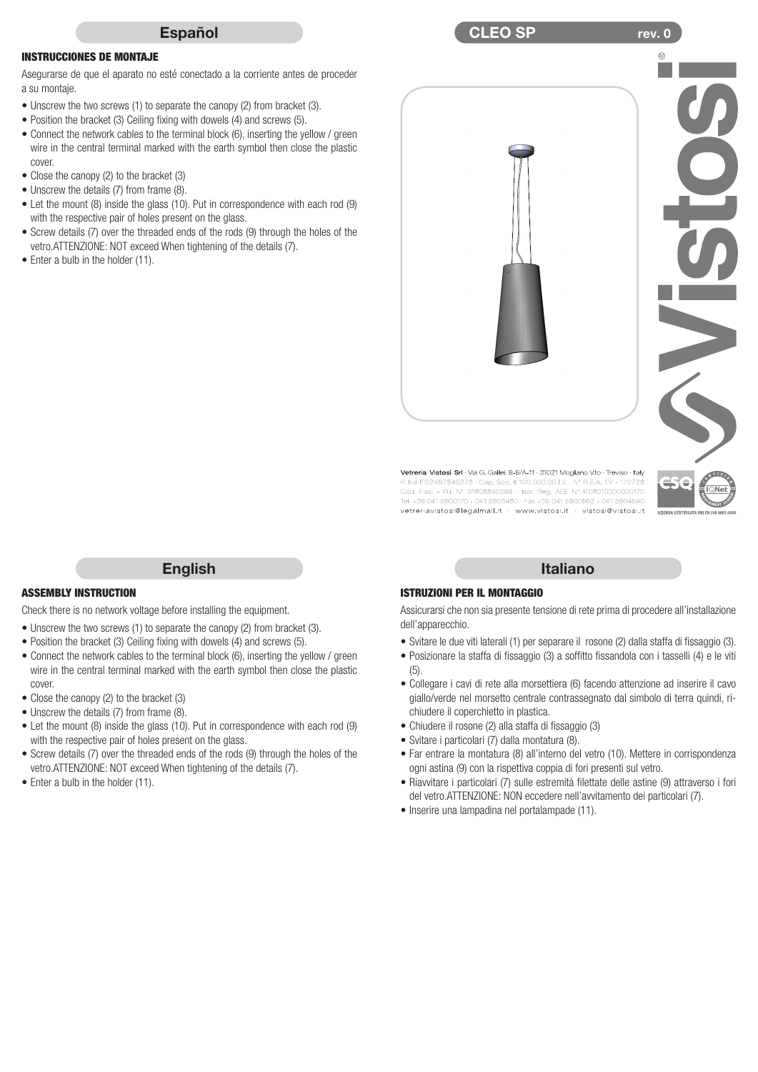

#### INSTRUCCIONES DE MONTAJE

Asegurarse de que el aparato no esté conectado a la corriente antes de proceder a su montaje.

- Unscrew the two screws (1) to separate the canopy (2) from bracket (3).
- Position the bracket (3) Ceiling fixing with dowels (4) and screws (5).
- Connect the network cables to the terminal block (6), inserting the yellow / green wire in the central terminal marked with the earth symbol then close the plastic cover.
- Close the canopy (2) to the bracket (3)
- Unscrew the details (7) from frame (8).
- Let the mount (8) inside the glass (10). Put in correspondence with each rod (9) with the respective pair of holes present on the glass.
- Screw details (7) over the threaded ends of the rods (9) through the holes of the vetro.ATTENZIONE: NOT exceed When tightening of the details (7).
- Enter a bulb in the holder (11).



 $\mathsf{CLEO}$   $\mathsf{SP}$  and  $\mathsf{CLEO}$   $\mathsf{CP}$  are view.

**P. Iva ITO2497840278 - Cap. Soc. 6 100.000.00 I.V. - N° R.E.A. TV - 170728**<br>Cod. Fisc. - R.I. N° 01808840286 - Iscr. Reg. AEE N° ITO8010000000170<br>Tel. +39 041 5900170 - 041 5903480 - Fax +39 041 5900992 - 041 5904540 vetreriavistosi@legalmail.it · www.vistosi.it · vistosi@vistosi.it

## ASSEMBLY INSTRUCTION

Check there is no network voltage before installing the equipment.

- Unscrew the two screws (1) to separate the canopy (2) from bracket (3).
- Position the bracket (3) Ceiling fixing with dowels (4) and screws (5).
- Connect the network cables to the terminal block (6), inserting the yellow / green wire in the central terminal marked with the earth symbol then close the plastic cover.

English

- Close the canopy (2) to the bracket (3)
- Unscrew the details (7) from frame (8).
- Let the mount (8) inside the glass (10). Put in correspondence with each rod (9) with the respective pair of holes present on the glass.
- Screw details (7) over the threaded ends of the rods (9) through the holes of the vetro.ATTENZIONE: NOT exceed When tightening of the details (7).
- Enter a bulb in the holder (11).

#### Italiano

#### ISTRUZIONI PER IL MONTAGGIO

Assicurarsi che non sia presente tensione di rete prima di procedere all'installazione dell'apparecchio.

- Svitare le due viti laterali (1) per separare il rosone (2) dalla staffa di fissaggio (3).
- Posizionare la staffa di fissaggio (3) a soffitto fissandola con i tasselli (4) e le viti (5).
- Collegare i cavi di rete alla morsettiera (6) facendo attenzione ad inserire il cavo giallo/verde nel morsetto centrale contrassegnato dal simbolo di terra quindi, richiudere il coperchietto in plastica.
- Chiudere il rosone (2) alla staffa di fissaggio (3)
- Svitare i particolari (7) dalla montatura (8).
- Far entrare la montatura (8) all'interno del vetro (10). Mettere in corrispondenza ogni astina (9) con la rispettiva coppia di fori presenti sul vetro.
- Riavvitare i particolari (7) sulle estremità filettate delle astine (9) attraverso i fori del vetro.ATTENZIONE: NON eccedere nell'avvitamento dei particolari (7).
- Inserire una lampadina nel portalampade (11).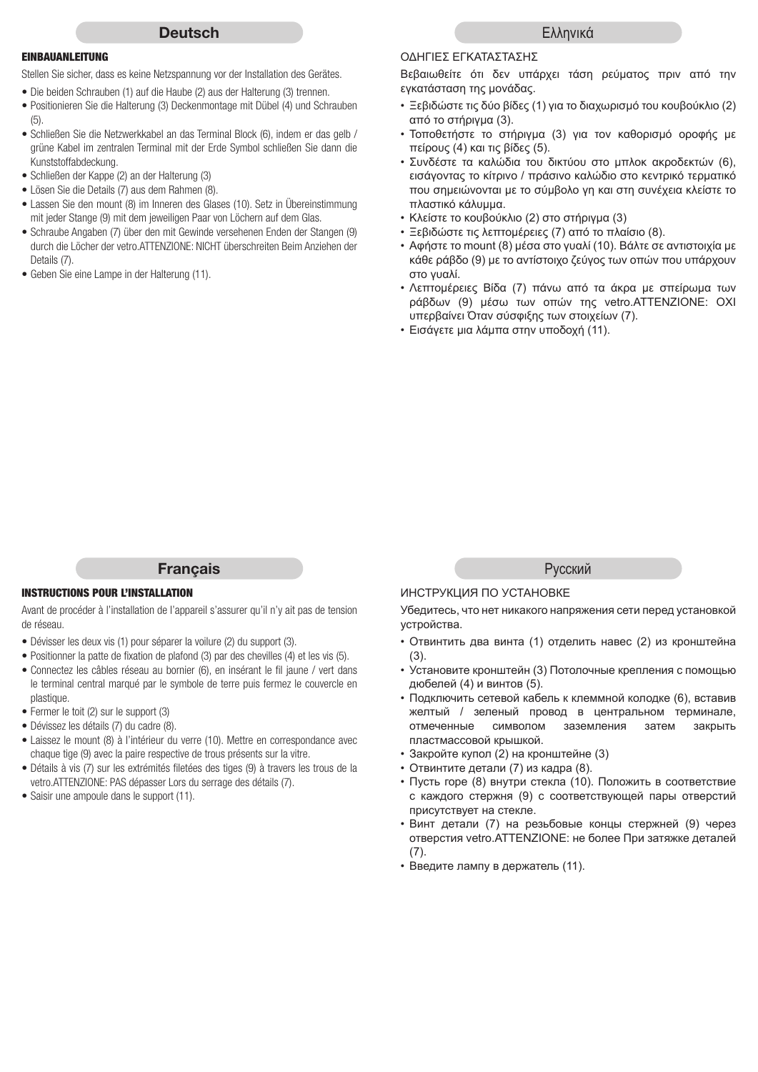#### **Deutsch**

## EINBAUANLEITUNG

Stellen Sie sicher, dass es keine Netzspannung vor der Installation des Gerätes.

- Die beiden Schrauben (1) auf die Haube (2) aus der Halterung (3) trennen.
- Positionieren Sie die Halterung (3) Deckenmontage mit Dübel (4) und Schrauben (5).
- Schließen Sie die Netzwerkkabel an das Terminal Block (6), indem er das gelb / grüne Kabel im zentralen Terminal mit der Erde Symbol schließen Sie dann die Kunststoffabdeckung.
- Schließen der Kappe (2) an der Halterung (3)
- Lösen Sie die Details (7) aus dem Rahmen (8).
- Lassen Sie den mount (8) im Inneren des Glases (10). Setz in Übereinstimmung mit jeder Stange (9) mit dem jeweiligen Paar von Löchern auf dem Glas.
- Schraube Angaben (7) über den mit Gewinde versehenen Enden der Stangen (9) durch die Löcher der vetro.ATTENZIONE: NICHT überschreiten Beim Anziehen der Details (7).
- Geben Sie eine Lampe in der Halterung (11).

#### ΟΔΗΓΙΕΣ ΕΓΚΑΤΑΣΤΑΣΗΣ

Βεβαιωθείτε ότι δεν υπάρχει τάση ρεύματος πριν από την εγκατάσταση της μονάδας.

- Ξεβιδώστε τις δύο βίδες (1) για το διαχωρισμό του κουβούκλιο (2) από το στήριγμα (3).
- Τοποθετήστε το στήριγμα (3) για τον καθορισμό οροφής με πείρους (4) και τις βίδες (5).
- Συνδέστε τα καλώδια του δικτύου στο μπλοκ ακροδεκτών (6), εισάγοντας το κίτρινο / πράσινο καλώδιο στο κεντρικό τερματικό που σημειώνονται με το σύμβολο γη και στη συνέχεια κλείστε το πλαστικό κάλυμμα.
- Κλείστε το κουβούκλιο (2) στο στήριγμα (3)
- Ξεβιδώστε τις λεπτομέρειες (7) από το πλαίσιο (8).
- Αφήστε το mount (8) μέσα στο γυαλί (10). Βάλτε σε αντιστοιχία με κάθε ράβδο (9) με το αντίστοιχο ζεύγος των οπών που υπάρχουν στο γυαλί.
- Λεπτομέρειες Βίδα (7) πάνω από τα άκρα με σπείρωμα των ράβδων (9) μέσω των οπών της vetro.ATTENZIONE: ΟΧΙ υπερβαίνει Όταν σύσφιξης των στοιχείων (7).
- Εισάγετε μια λάμπα στην υποδοχή (11).

# **Francais**

## INSTRUCTIONS POUR L'INSTALLATION

Avant de procéder à l'installation de l'appareil s'assurer qu'il n'y ait pas de tension de réseau.

- Dévisser les deux vis (1) pour séparer la voilure (2) du support (3).
- Positionner la patte de fixation de plafond (3) par des chevilles (4) et les vis (5).
- Connectez les câbles réseau au bornier (6), en insérant le fil jaune / vert dans le terminal central marqué par le symbole de terre puis fermez le couvercle en plastique.
- Fermer le toit (2) sur le support (3)
- Dévissez les détails (7) du cadre (8).
- Laissez le mount (8) à l'intérieur du verre (10). Mettre en correspondance avec chaque tige (9) avec la paire respective de trous présents sur la vitre.
- Détails à vis (7) sur les extrémités filetées des tiges (9) à travers les trous de la vetro.ATTENZIONE: PAS dépasser Lors du serrage des détails (7).
- Saisir une ampoule dans le support (11).

Pусский

## ИНСТРУКЦИЯ ПО УСТАНОВКЕ

Убедитесь, что нет никакого напряжения сети перед установкой устройства.

- Отвинтить два винта (1) отделить навес (2) из кронштейна (3).
- Установите кронштейн (3) Потолочные крепления с помощью дюбелей (4) и винтов (5).
- Подключить сетевой кабель к клеммной колодке (6), вставив желтый / зеленый провод в центральном терминале, отмеченные символом заземления затем закрыть пластмассовой крышкой.
- Закройте купол (2) на кронштейне (3)
- Отвинтите детали (7) из кадра (8).
- Пусть горе (8) внутри стекла (10). Положить в соответствие с каждого стержня (9) с соответствующей пары отверстий присутствует на стекле.
- Винт детали (7) на резьбовые концы стержней (9) через отверстия vetro.ATTENZIONE: не более При затяжке деталей (7).
- Введите лампу в держатель (11).

Eλληνικά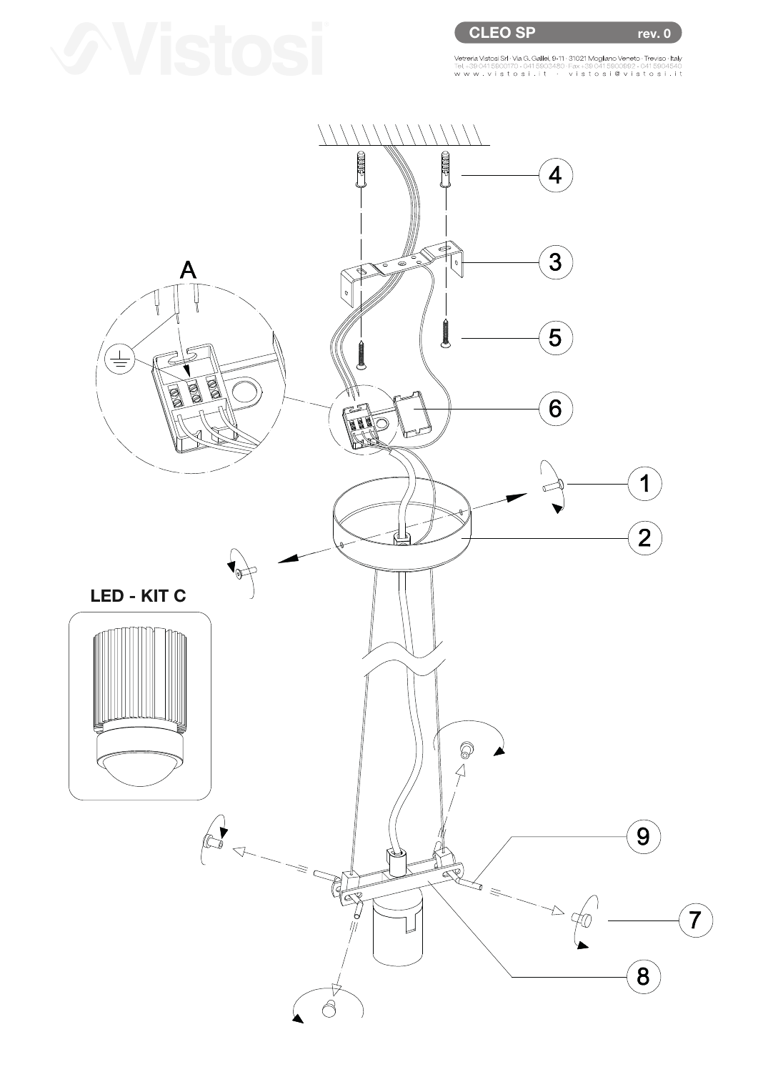rev. 0

Vetreria Vistosi Srl · Via G. Galilei, 9-11 · 31021 Mogliano Veneto · Treviso · Italy<br>Tel. +39 041 5900170 - 041 5903480 · Fax +39 041 5900992 - 041 5904540 W.M vistosi.it · vistosi@vistosi.it AAC.